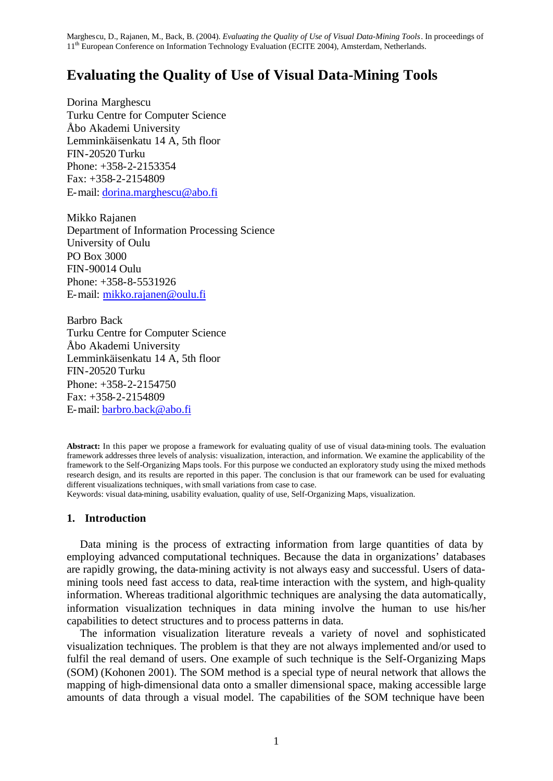# **Evaluating the Quality of Use of Visual Data-Mining Tools**

Dorina Marghescu Turku Centre for Computer Science Åbo Akademi University Lemminkäisenkatu 14 A, 5th floor FIN-20520 Turku Phone: +358-2-2153354 Fax: +358-2-2154809 E-mail: dorina.marghescu@abo.fi

Mikko Rajanen Department of Information Processing Science University of Oulu PO Box 3000 FIN-90014 Oulu Phone: +358-8-5531926 E-mail: mikko.rajanen@oulu.fi

Barbro Back Turku Centre for Computer Science Åbo Akademi University Lemminkäisenkatu 14 A, 5th floor FIN-20520 Turku Phone: +358-2-2154750 Fax: +358-2-2154809 E-mail: barbro.back@abo.fi

**Abstract:** In this paper we propose a framework for evaluating quality of use of visual data-mining tools. The evaluation framework addresses three levels of analysis: visualization, interaction, and information. We examine the applicability of the framework to the Self-Organizing Maps tools. For this purpose we conducted an exploratory study using the mixed methods research design, and its results are reported in this paper. The conclusion is that our framework can be used for evaluating different visualizations techniques, with small variations from case to case.

Keywords: visual data-mining, usability evaluation, quality of use, Self-Organizing Maps, visualization.

# **1. Introduction**

Data mining is the process of extracting information from large quantities of data by employing advanced computational techniques. Because the data in organizations' databases are rapidly growing, the data-mining activity is not always easy and successful. Users of datamining tools need fast access to data, real-time interaction with the system, and high-quality information. Whereas traditional algorithmic techniques are analysing the data automatically, information visualization techniques in data mining involve the human to use his/her capabilities to detect structures and to process patterns in data.

The information visualization literature reveals a variety of novel and sophisticated visualization techniques. The problem is that they are not always implemented and/or used to fulfil the real demand of users. One example of such technique is the Self-Organizing Maps (SOM) (Kohonen 2001). The SOM method is a special type of neural network that allows the mapping of high-dimensional data onto a smaller dimensional space, making accessible large amounts of data through a visual model. The capabilities of the SOM technique have been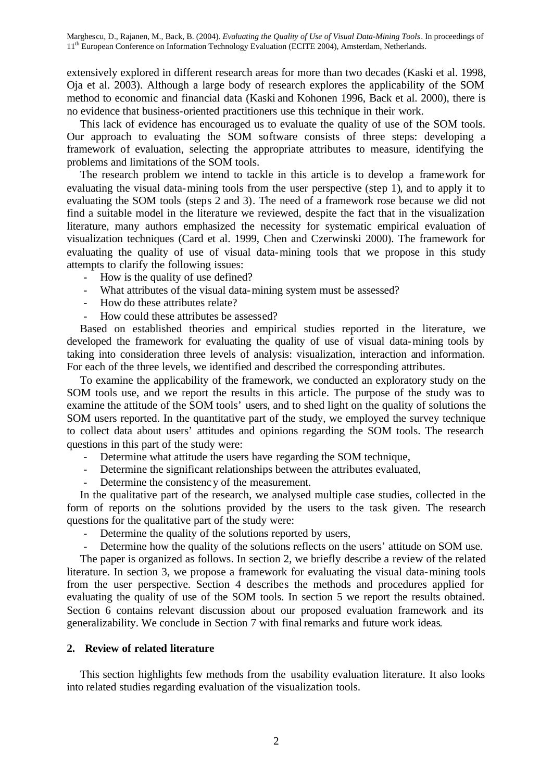extensively explored in different research areas for more than two decades (Kaski et al. 1998, Oja et al. 2003). Although a large body of research explores the applicability of the SOM method to economic and financial data (Kaski and Kohonen 1996, Back et al. 2000), there is no evidence that business-oriented practitioners use this technique in their work.

This lack of evidence has encouraged us to evaluate the quality of use of the SOM tools. Our approach to evaluating the SOM software consists of three steps: developing a framework of evaluation, selecting the appropriate attributes to measure, identifying the problems and limitations of the SOM tools.

The research problem we intend to tackle in this article is to develop a framework for evaluating the visual data-mining tools from the user perspective (step 1), and to apply it to evaluating the SOM tools (steps 2 and 3). The need of a framework rose because we did not find a suitable model in the literature we reviewed, despite the fact that in the visualization literature, many authors emphasized the necessity for systematic empirical evaluation of visualization techniques (Card et al. 1999, Chen and Czerwinski 2000). The framework for evaluating the quality of use of visual data-mining tools that we propose in this study attempts to clarify the following issues:

- How is the quality of use defined?
- What attributes of the visual data-mining system must be assessed?
- How do these attributes relate?
- How could these attributes be assessed?

Based on established theories and empirical studies reported in the literature, we developed the framework for evaluating the quality of use of visual data-mining tools by taking into consideration three levels of analysis: visualization, interaction and information. For each of the three levels, we identified and described the corresponding attributes.

To examine the applicability of the framework, we conducted an exploratory study on the SOM tools use, and we report the results in this article. The purpose of the study was to examine the attitude of the SOM tools' users, and to shed light on the quality of solutions the SOM users reported. In the quantitative part of the study, we employed the survey technique to collect data about users' attitudes and opinions regarding the SOM tools. The research questions in this part of the study were:

- Determine what attitude the users have regarding the SOM technique,
- Determine the significant relationships between the attributes evaluated,
- Determine the consistency of the measurement.

In the qualitative part of the research, we analysed multiple case studies, collected in the form of reports on the solutions provided by the users to the task given. The research questions for the qualitative part of the study were:

- Determine the quality of the solutions reported by users,
- Determine how the quality of the solutions reflects on the users' attitude on SOM use.

The paper is organized as follows. In section 2, we briefly describe a review of the related literature. In section 3, we propose a framework for evaluating the visual data-mining tools from the user perspective. Section 4 describes the methods and procedures applied for evaluating the quality of use of the SOM tools. In section 5 we report the results obtained. Section 6 contains relevant discussion about our proposed evaluation framework and its generalizability. We conclude in Section 7 with final remarks and future work ideas.

# **2. Review of related literature**

This section highlights few methods from the usability evaluation literature. It also looks into related studies regarding evaluation of the visualization tools.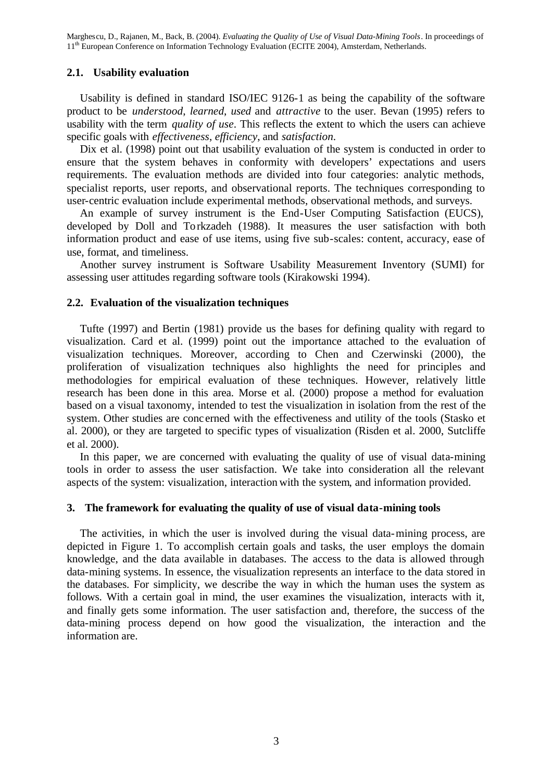### **2.1. Usability evaluation**

Usability is defined in standard ISO/IEC 9126-1 as being the capability of the software product to be *understood*, *learned*, *used* and *attractive* to the user. Bevan (1995) refers to usability with the term *quality of use*. This reflects the extent to which the users can achieve specific goals with *effectiveness*, *efficiency*, and *satisfaction*.

Dix et al. (1998) point out that usability evaluation of the system is conducted in order to ensure that the system behaves in conformity with developers' expectations and users requirements. The evaluation methods are divided into four categories: analytic methods, specialist reports, user reports, and observational reports. The techniques corresponding to user-centric evaluation include experimental methods, observational methods, and surveys.

An example of survey instrument is the End-User Computing Satisfaction (EUCS), developed by Doll and Torkzadeh (1988). It measures the user satisfaction with both information product and ease of use items, using five sub-scales: content, accuracy, ease of use, format, and timeliness.

Another survey instrument is Software Usability Measurement Inventory (SUMI) for assessing user attitudes regarding software tools (Kirakowski 1994).

### **2.2. Evaluation of the visualization techniques**

Tufte (1997) and Bertin (1981) provide us the bases for defining quality with regard to visualization. Card et al. (1999) point out the importance attached to the evaluation of visualization techniques. Moreover, according to Chen and Czerwinski (2000), the proliferation of visualization techniques also highlights the need for principles and methodologies for empirical evaluation of these techniques. However, relatively little research has been done in this area. Morse et al. (2000) propose a method for evaluation based on a visual taxonomy, intended to test the visualization in isolation from the rest of the system. Other studies are conc erned with the effectiveness and utility of the tools (Stasko et al. 2000), or they are targeted to specific types of visualization (Risden et al. 2000, Sutcliffe et al. 2000).

In this paper, we are concerned with evaluating the quality of use of visual data-mining tools in order to assess the user satisfaction. We take into consideration all the relevant aspects of the system: visualization, interaction with the system, and information provided.

### **3. The framework for evaluating the quality of use of visual data-mining tools**

The activities, in which the user is involved during the visual data-mining process, are depicted in Figure 1. To accomplish certain goals and tasks, the user employs the domain knowledge, and the data available in databases. The access to the data is allowed through data-mining systems. In essence, the visualization represents an interface to the data stored in the databases. For simplicity, we describe the way in which the human uses the system as follows. With a certain goal in mind, the user examines the visualization, interacts with it, and finally gets some information. The user satisfaction and, therefore, the success of the data-mining process depend on how good the visualization, the interaction and the information are.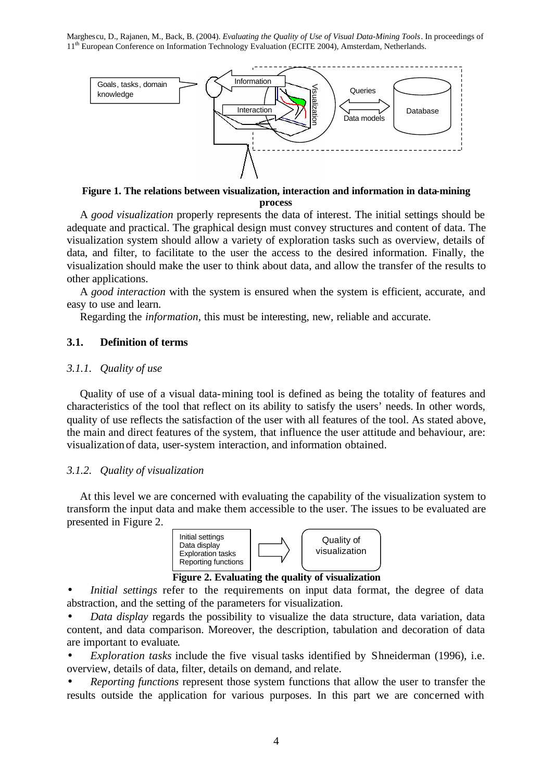

**Figure 1. The relations between visualization, interaction and information in data-mining process**

A *good visualization* properly represents the data of interest. The initial settings should be adequate and practical. The graphical design must convey structures and content of data. The visualization system should allow a variety of exploration tasks such as overview, details of data, and filter, to facilitate to the user the access to the desired information. Finally, the visualization should make the user to think about data, and allow the transfer of the results to other applications.

A *good interaction* with the system is ensured when the system is efficient, accurate, and easy to use and learn.

Regarding the *information*, this must be interesting, new, reliable and accurate.

# **3.1. Definition of terms**

#### *3.1.1. Quality of use*

Quality of use of a visual data-mining tool is defined as being the totality of features and characteristics of the tool that reflect on its ability to satisfy the users' needs. In other words, quality of use reflects the satisfaction of the user with all features of the tool. As stated above, the main and direct features of the system, that influence the user attitude and behaviour, are: visualization of data, user-system interaction, and information obtained.

#### *3.1.2. Quality of visualization*

At this level we are concerned with evaluating the capability of the visualization system to transform the input data and make them accessible to the user. The issues to be evaluated are presented in Figure 2.





*Initial settings* refer to the requirements on input data format, the degree of data abstraction, and the setting of the parameters for visualization.

• *Data display* regards the possibility to visualize the data structure, data variation, data content, and data comparison. Moreover, the description, tabulation and decoration of data are important to evaluate.

- *Exploration tasks* include the five visual tasks identified by Shneiderman (1996), i.e. overview, details of data, filter, details on demand, and relate.
- *Reporting functions* represent those system functions that allow the user to transfer the results outside the application for various purposes. In this part we are concerned with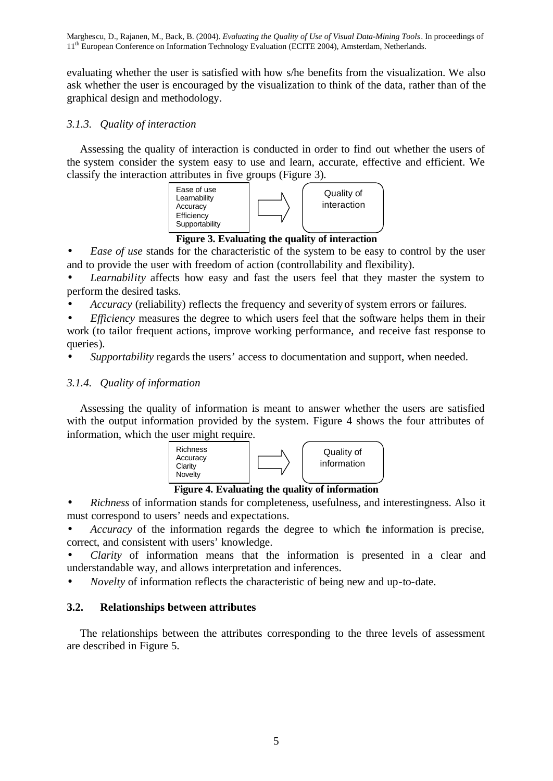evaluating whether the user is satisfied with how s/he benefits from the visualization. We also ask whether the user is encouraged by the visualization to think of the data, rather than of the graphical design and methodology.

# *3.1.3. Quality of interaction*

Assessing the quality of interaction is conducted in order to find out whether the users of the system consider the system easy to use and learn, accurate, effective and efficient. We classify the interaction attributes in five groups (Figure 3).



**Figure 3. Evaluating the quality of interaction**

• *Ease of use* stands for the characteristic of the system to be easy to control by the user and to provide the user with freedom of action (controllability and flexibility).

Learnability affects how easy and fast the users feel that they master the system to perform the desired tasks.

• *Accuracy* (reliability) reflects the frequency and severity of system errors or failures.

*Efficiency* measures the degree to which users feel that the software helps them in their work (to tailor frequent actions, improve working performance, and receive fast response to queries).

• *Supportability* regards the users' access to documentation and support, when needed.

# *3.1.4. Quality of information*

Assessing the quality of information is meant to answer whether the users are satisfied with the output information provided by the system. Figure 4 shows the four attributes of information, which the user might require.



**Figure 4. Evaluating the quality of information**

• *Richness* of information stands for completeness, usefulness, and interestingness. Also it must correspond to users' needs and expectations.

• *Accuracy* of the information regards the degree to which the information is precise, correct, and consistent with users' knowledge.

• *Clarity* of information means that the information is presented in a clear and understandable way, and allows interpretation and inferences.

• *Novelty* of information reflects the characteristic of being new and up-to-date.

# **3.2. Relationships between attributes**

The relationships between the attributes corresponding to the three levels of assessment are described in Figure 5.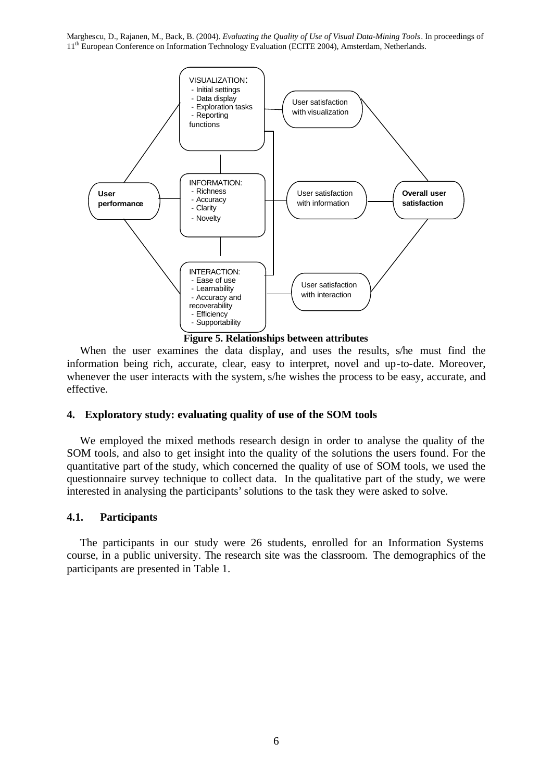

When the user examines the data display, and uses the results, s/he must find the information being rich, accurate, clear, easy to interpret, novel and up-to-date. Moreover, whenever the user interacts with the system, s/he wishes the process to be easy, accurate, and effective.

# **4. Exploratory study: evaluating quality of use of the SOM tools**

We employed the mixed methods research design in order to analyse the quality of the SOM tools, and also to get insight into the quality of the solutions the users found. For the quantitative part of the study, which concerned the quality of use of SOM tools, we used the questionnaire survey technique to collect data. In the qualitative part of the study, we were interested in analysing the participants' solutions to the task they were asked to solve.

# **4.1. Participants**

The participants in our study were 26 students, enrolled for an Information Systems course, in a public university. The research site was the classroom. The demographics of the participants are presented in Table 1.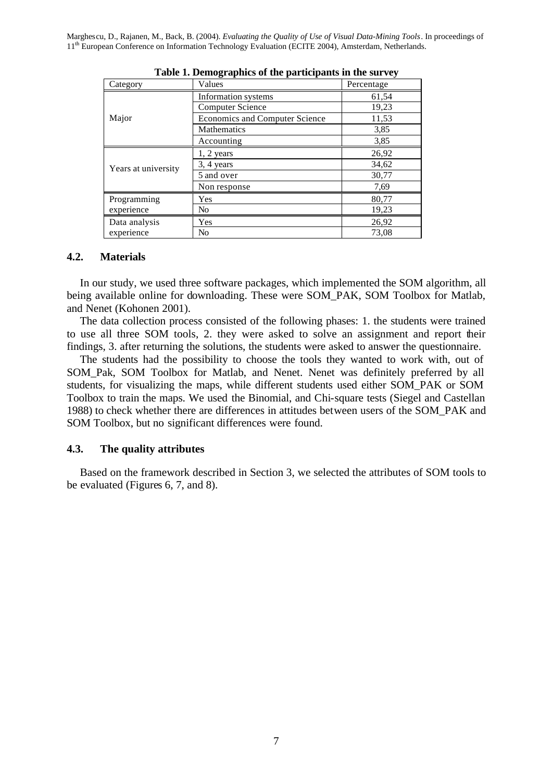| Category            | Values                                | Percentage |
|---------------------|---------------------------------------|------------|
|                     | Information systems                   | 61,54      |
| Major               | <b>Computer Science</b>               | 19,23      |
|                     | <b>Economics and Computer Science</b> | 11,53      |
|                     | Mathematics                           | 3,85       |
|                     | Accounting                            | 3,85       |
| Years at university | $1, 2$ years                          | 26,92      |
|                     | $3, 4$ years                          | 34,62      |
|                     | 5 and over                            | 30,77      |
|                     | Non response                          | 7,69       |
| Programming         | Yes                                   | 80,77      |
| experience          | No                                    | 19,23      |
| Data analysis       | Yes                                   | 26,92      |
| experience          | N <sub>0</sub>                        | 73,08      |

**Table 1. Demographics of the participants in the survey**

#### **4.2. Materials**

In our study, we used three software packages, which implemented the SOM algorithm, all being available online for downloading. These were SOM\_PAK, SOM Toolbox for Matlab, and Nenet (Kohonen 2001).

The data collection process consisted of the following phases: 1. the students were trained to use all three SOM tools, 2. they were asked to solve an assignment and report their findings, 3. after returning the solutions, the students were asked to answer the questionnaire.

The students had the possibility to choose the tools they wanted to work with, out of SOM\_Pak, SOM Toolbox for Matlab, and Nenet. Nenet was definitely preferred by all students, for visualizing the maps, while different students used either SOM\_PAK or SOM Toolbox to train the maps. We used the Binomial, and Chi-square tests (Siegel and Castellan 1988) to check whether there are differences in attitudes between users of the SOM\_PAK and SOM Toolbox, but no significant differences were found.

#### **4.3. The quality attributes**

Based on the framework described in Section 3, we selected the attributes of SOM tools to be evaluated (Figures 6, 7, and 8).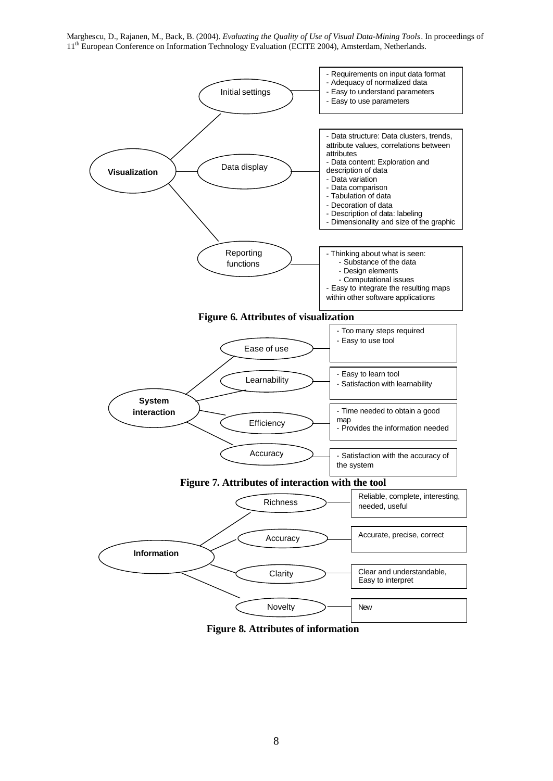

**Figure 8. Attributes of information**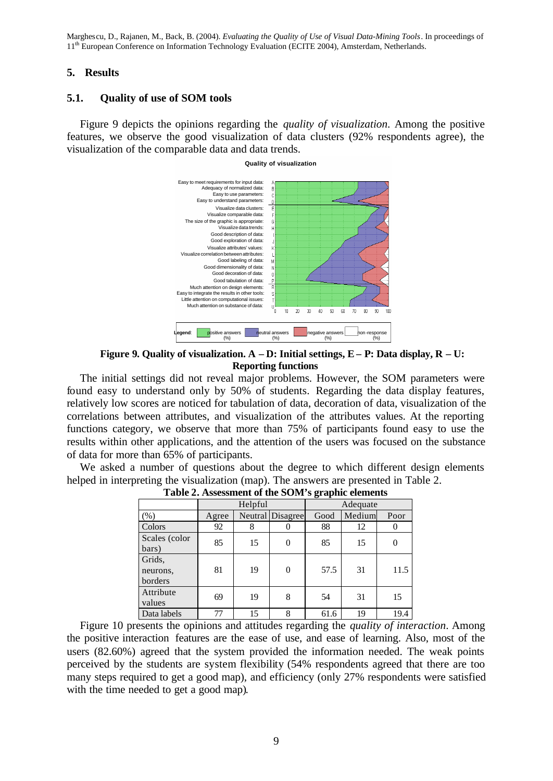### **5. Results**

# **5.1. Quality of use of SOM tools**

Figure 9 depicts the opinions regarding the *quality of visualization*. Among the positive features, we observe the good visualization of data clusters (92% respondents agree), the visualization of the comparable data and data trends.



**Figure 9. Quality of visualization. A – D: Initial settings, E – P: Data display, R – U: Reporting functions**

The initial settings did not reveal major problems. However, the SOM parameters were found easy to understand only by 50% of students. Regarding the data display features, relatively low scores are noticed for tabulation of data, decoration of data, visualization of the correlations between attributes, and visualization of the attributes values. At the reporting functions category, we observe that more than 75% of participants found easy to use the results within other applications, and the attention of the users was focused on the substance of data for more than 65% of participants.

We asked a number of questions about the degree to which different design elements helped in interpreting the visualization (map). The answers are presented in Table 2.

|                               | $\tilde{\phantom{a}}$ |    |                  |          |        |      |
|-------------------------------|-----------------------|----|------------------|----------|--------|------|
|                               | Helpful               |    |                  | Adequate |        |      |
| (% )                          | Agree                 |    | Neutral Disagree | Good     | Medium | Poor |
| Colors                        | 92                    | 8  |                  | 88       | 12     |      |
| Scales (color<br>bars)        | 85                    | 15 | $\theta$         | 85       | 15     |      |
| Grids,<br>neurons,<br>borders | 81                    | 19 | $\theta$         | 57.5     | 31     | 11.5 |
| Attribute<br>values           | 69                    | 19 | 8                | 54       | 31     | 15   |
| Data labels                   | 77                    | 15 | 8                | 61.6     | 19     | 19.4 |

**Table 2. Assessment of the SOM's graphic elements**

Figure 10 presents the opinions and attitudes regarding the *quality of interaction*. Among the positive interaction features are the ease of use, and ease of learning. Also, most of the users (82.60%) agreed that the system provided the information needed. The weak points perceived by the students are system flexibility (54% respondents agreed that there are too many steps required to get a good map), and efficiency (only 27% respondents were satisfied with the time needed to get a good map).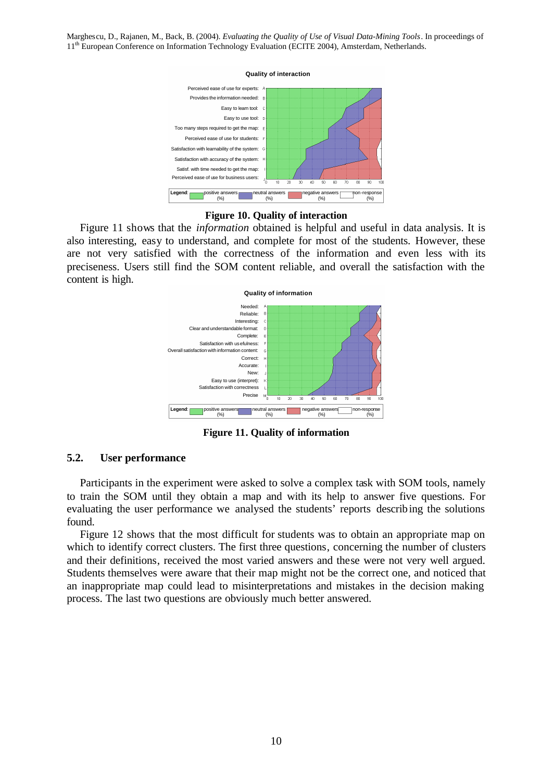



#### **Figure 10. Quality of interaction**

Figure 11 shows that the *information* obtained is helpful and useful in data analysis. It is also interesting, easy to understand, and complete for most of the students. However, these are not very satisfied with the correctness of the information and even less with its preciseness. Users still find the SOM content reliable, and overall the satisfaction with the content is high.



**Figure 11. Quality of information**

# **5.2. User performance**

Participants in the experiment were asked to solve a complex task with SOM tools, namely to train the SOM until they obtain a map and with its help to answer five questions. For evaluating the user performance we analysed the students' reports describing the solutions found.

Figure 12 shows that the most difficult for students was to obtain an appropriate map on which to identify correct clusters. The first three questions, concerning the number of clusters and their definitions, received the most varied answers and these were not very well argued. Students themselves were aware that their map might not be the correct one, and noticed that an inappropriate map could lead to misinterpretations and mistakes in the decision making process. The last two questions are obviously much better answered.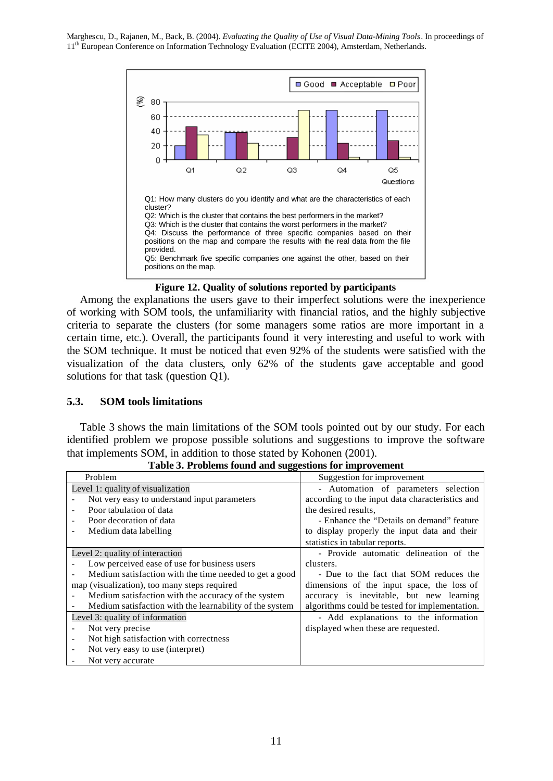

**Figure 12. Quality of solutions reported by participants**

Among the explanations the users gave to their imperfect solutions were the inexperience of working with SOM tools, the unfamiliarity with financial ratios, and the highly subjective criteria to separate the clusters (for some managers some ratios are more important in a certain time, etc.). Overall, the participants found it very interesting and useful to work with the SOM technique. It must be noticed that even 92% of the students were satisfied with the visualization of the data clusters, only 62% of the students gave acceptable and good solutions for that task (question Q1).

# **5.3. SOM tools limitations**

Table 3 shows the main limitations of the SOM tools pointed out by our study. For each identified problem we propose possible solutions and suggestions to improve the software that implements SOM, in addition to those stated by Kohonen (2001).

| Problem                                                 | Suggestion for improvement                      |  |  |
|---------------------------------------------------------|-------------------------------------------------|--|--|
| Level 1: quality of visualization                       | - Automation of parameters selection            |  |  |
| Not very easy to understand input parameters            | according to the input data characteristics and |  |  |
| Poor tabulation of data                                 | the desired results.                            |  |  |
| Poor decoration of data                                 | - Enhance the "Details on demand" feature       |  |  |
| Medium data labelling                                   | to display properly the input data and their    |  |  |
|                                                         | statistics in tabular reports.                  |  |  |
| Level 2: quality of interaction                         | - Provide automatic delineation of the          |  |  |
| Low perceived ease of use for business users            | clusters.                                       |  |  |
| Medium satisfaction with the time needed to get a good  | - Due to the fact that SOM reduces the          |  |  |
| map (visualization), too many steps required            | dimensions of the input space, the loss of      |  |  |
| Medium satisfaction with the accuracy of the system     | accuracy is inevitable, but new learning        |  |  |
| Medium satisfaction with the learnability of the system | algorithms could be tested for implementation.  |  |  |
| Level 3: quality of information                         | - Add explanations to the information           |  |  |
| Not very precise                                        | displayed when these are requested.             |  |  |
| Not high satisfaction with correctness                  |                                                 |  |  |
| Not very easy to use (interpret)                        |                                                 |  |  |
| Not very accurate                                       |                                                 |  |  |

**Table 3. Problems found and suggestions for improvement**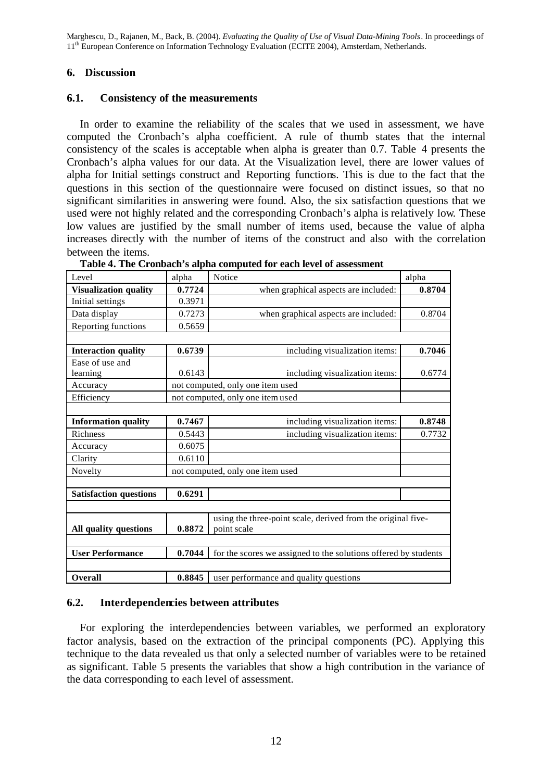# **6. Discussion**

# **6.1. Consistency of the measurements**

In order to examine the reliability of the scales that we used in assessment, we have computed the Cronbach's alpha coefficient. A rule of thumb states that the internal consistency of the scales is acceptable when alpha is greater than 0.7. Table 4 presents the Cronbach's alpha values for our data. At the Visualization level, there are lower values of alpha for Initial settings construct and Reporting functions. This is due to the fact that the questions in this section of the questionnaire were focused on distinct issues, so that no significant similarities in answering were found. Also, the six satisfaction questions that we used were not highly related and the corresponding Cronbach's alpha is relatively low. These low values are justified by the small number of items used, because the value of alpha increases directly with the number of items of the construct and also with the correlation between the items.

| Level                         | alpha                            | Notice                                                          | alpha  |  |
|-------------------------------|----------------------------------|-----------------------------------------------------------------|--------|--|
| <b>Visualization quality</b>  | 0.7724                           | when graphical aspects are included:                            | 0.8704 |  |
| Initial settings              | 0.3971                           |                                                                 |        |  |
| Data display                  | 0.7273                           | when graphical aspects are included:                            | 0.8704 |  |
| Reporting functions           | 0.5659                           |                                                                 |        |  |
|                               |                                  |                                                                 |        |  |
| <b>Interaction quality</b>    | 0.6739                           | including visualization items:                                  | 0.7046 |  |
| Ease of use and               |                                  |                                                                 |        |  |
| learning                      | 0.6143                           | including visualization items:                                  | 0.6774 |  |
| Accuracy                      |                                  | not computed, only one item used                                |        |  |
| Efficiency                    |                                  | not computed, only one item used                                |        |  |
|                               |                                  |                                                                 |        |  |
| <b>Information quality</b>    | 0.7467                           | including visualization items:                                  | 0.8748 |  |
| Richness                      | 0.5443                           | including visualization items:                                  | 0.7732 |  |
| Accuracy                      | 0.6075                           |                                                                 |        |  |
| Clarity                       | 0.6110                           |                                                                 |        |  |
| Novelty                       | not computed, only one item used |                                                                 |        |  |
|                               |                                  |                                                                 |        |  |
| <b>Satisfaction questions</b> | 0.6291                           |                                                                 |        |  |
|                               |                                  |                                                                 |        |  |
|                               |                                  | using the three-point scale, derived from the original five-    |        |  |
| All quality questions         | 0.8872                           | point scale                                                     |        |  |
|                               |                                  |                                                                 |        |  |
| <b>User Performance</b>       | 0.7044                           | for the scores we assigned to the solutions offered by students |        |  |
|                               |                                  |                                                                 |        |  |
| Overall                       | 0.8845                           | user performance and quality questions                          |        |  |

**Table 4. The Cronbach's alpha computed for each level of assessment**

# **6.2. Interdependencies between attributes**

For exploring the interdependencies between variables, we performed an exploratory factor analysis, based on the extraction of the principal components (PC). Applying this technique to the data revealed us that only a selected number of variables were to be retained as significant. Table 5 presents the variables that show a high contribution in the variance of the data corresponding to each level of assessment.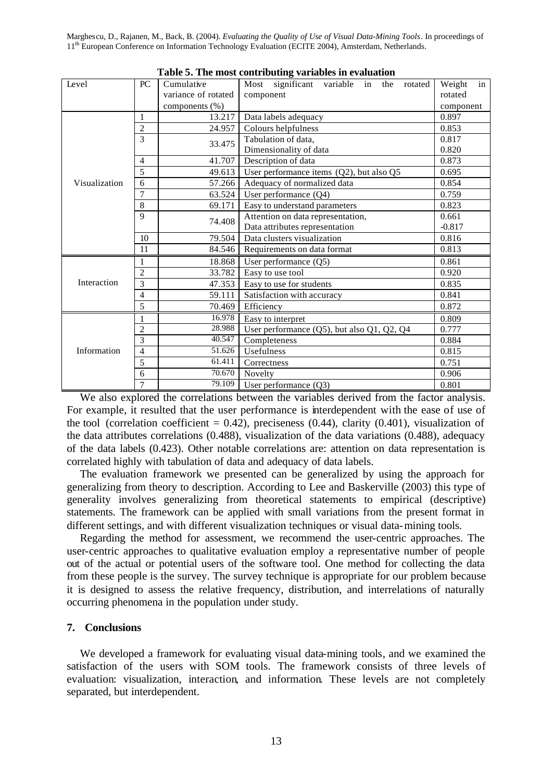| Level         | PC                      | Cumulative          | Most significant variable in the rotated             | Weight<br>in |
|---------------|-------------------------|---------------------|------------------------------------------------------|--------------|
|               |                         | variance of rotated | component                                            | rotated      |
|               |                         | components (%)      |                                                      | component    |
|               | 1                       | 13.217              | Data labels adequacy                                 | 0.897        |
| Visualization | $\overline{c}$          | 24.957              | Colours helpfulness                                  | 0.853        |
|               | $\overline{3}$          | 33.475              | Tabulation of data,                                  | 0.817        |
|               |                         |                     | Dimensionality of data                               | 0.820        |
|               | $\overline{4}$          | 41.707              | Description of data                                  | 0.873        |
|               | 5                       | 49.613              | User performance items (Q2), but also Q5             | 0.695        |
|               | 6                       | 57.266              | Adequacy of normalized data                          | 0.854        |
|               | $\overline{7}$          | 63.524              | User performance $(Q4)$                              | 0.759        |
|               | 8                       | 69.171              | Easy to understand parameters                        | 0.823        |
|               | 9                       | 74.408              | Attention on data representation,                    | 0.661        |
|               |                         |                     | Data attributes representation                       | $-0.817$     |
|               | 10                      | 79.504              | Data clusters visualization                          | 0.816        |
|               | 11                      | 84.546              | Requirements on data format                          | 0.813        |
|               | 1                       | 18.868              | User performance $(Q5)$                              | 0.861        |
|               | $\overline{c}$          | 33.782              | Easy to use tool                                     | 0.920        |
| Interaction   | 3                       | 47.353              | Easy to use for students                             | 0.835        |
|               | $\overline{\mathbf{4}}$ | 59.111              | Satisfaction with accuracy                           | 0.841        |
|               | 5                       | 70.469              | Efficiency                                           | 0.872        |
|               | 1                       | 16.978              | Easy to interpret                                    | 0.809        |
|               | $\overline{\mathbf{c}}$ |                     | 28.988<br>User performance (Q5), but also Q1, Q2, Q4 |              |
| Information   | $\overline{3}$          | 40.547              | Completeness                                         | 0.884        |
|               | 4                       | 51.626              | Usefulness                                           | 0.815        |
|               | 5                       | 61.411              | Correctness                                          | 0.751        |
|               | 6                       | 70.670              | Novelty                                              | 0.906        |
|               | 7                       | 79.109              | User performance $(Q3)$                              | 0.801        |

**Table 5. The most contributing variables in evaluation**

We also explored the correlations between the variables derived from the factor analysis. For example, it resulted that the user performance is interdependent with the ease of use of the tool (correlation coefficient =  $0.42$ ), preciseness (0.44), clarity (0.401), visualization of the data attributes correlations (0.488), visualization of the data variations (0.488), adequacy of the data labels (0.423). Other notable correlations are: attention on data representation is correlated highly with tabulation of data and adequacy of data labels.

The evaluation framework we presented can be generalized by using the approach for generalizing from theory to description. According to Lee and Baskerville (2003) this type of generality involves generalizing from theoretical statements to empirical (descriptive) statements. The framework can be applied with small variations from the present format in different settings, and with different visualization techniques or visual data-mining tools.

Regarding the method for assessment, we recommend the user-centric approaches. The user-centric approaches to qualitative evaluation employ a representative number of people out of the actual or potential users of the software tool. One method for collecting the data from these people is the survey. The survey technique is appropriate for our problem because it is designed to assess the relative frequency, distribution, and interrelations of naturally occurring phenomena in the population under study.

# **7. Conclusions**

We developed a framework for evaluating visual data-mining tools, and we examined the satisfaction of the users with SOM tools. The framework consists of three levels of evaluation: visualization, interaction, and information. These levels are not completely separated, but interdependent.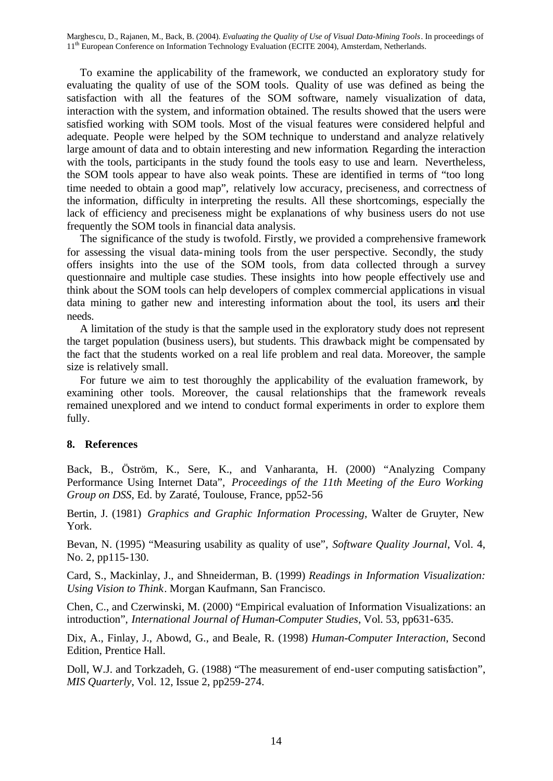To examine the applicability of the framework, we conducted an exploratory study for evaluating the quality of use of the SOM tools. Quality of use was defined as being the satisfaction with all the features of the SOM software, namely visualization of data, interaction with the system, and information obtained. The results showed that the users were satisfied working with SOM tools. Most of the visual features were considered helpful and adequate. People were helped by the SOM technique to understand and analyze relatively large amount of data and to obtain interesting and new information. Regarding the interaction with the tools, participants in the study found the tools easy to use and learn. Nevertheless, the SOM tools appear to have also weak points. These are identified in terms of "too long time needed to obtain a good map", relatively low accuracy, preciseness, and correctness of the information, difficulty in interpreting the results. All these shortcomings, especially the lack of efficiency and preciseness might be explanations of why business users do not use frequently the SOM tools in financial data analysis.

The significance of the study is twofold. Firstly, we provided a comprehensive framework for assessing the visual data-mining tools from the user perspective. Secondly, the study offers insights into the use of the SOM tools, from data collected through a survey questionnaire and multiple case studies. These insights into how people effectively use and think about the SOM tools can help developers of complex commercial applications in visual data mining to gather new and interesting information about the tool, its users and their needs.

A limitation of the study is that the sample used in the exploratory study does not represent the target population (business users), but students. This drawback might be compensated by the fact that the students worked on a real life problem and real data. Moreover, the sample size is relatively small.

For future we aim to test thoroughly the applicability of the evaluation framework, by examining other tools. Moreover, the causal relationships that the framework reveals remained unexplored and we intend to conduct formal experiments in order to explore them fully.

### **8. References**

Back, B., Öström, K., Sere, K., and Vanharanta, H. (2000) "Analyzing Company Performance Using Internet Data", *Proceedings of the 11th Meeting of the Euro Working Group on DSS*, Ed. by Zaraté, Toulouse, France, pp52-56

Bertin, J. (1981) *Graphics and Graphic Information Processing*, Walter de Gruyter, New York.

Bevan, N. (1995) "Measuring usability as quality of use", *Software Quality Journal*, Vol. 4, No. 2, pp115-130.

Card, S., Mackinlay, J., and Shneiderman, B. (1999) *Readings in Information Visualization: Using Vision to Think*. Morgan Kaufmann, San Francisco.

Chen, C., and Czerwinski, M. (2000) "Empirical evaluation of Information Visualizations: an introduction", *International Journal of Human-Computer Studies*, Vol. 53, pp631-635.

Dix, A., Finlay, J., Abowd, G., and Beale, R. (1998) *Human-Computer Interaction*, Second Edition, Prentice Hall.

Doll, W.J. and Torkzadeh, G. (1988) "The measurement of end-user computing satisfaction", *MIS Quarterly*, Vol. 12, Issue 2, pp259-274.